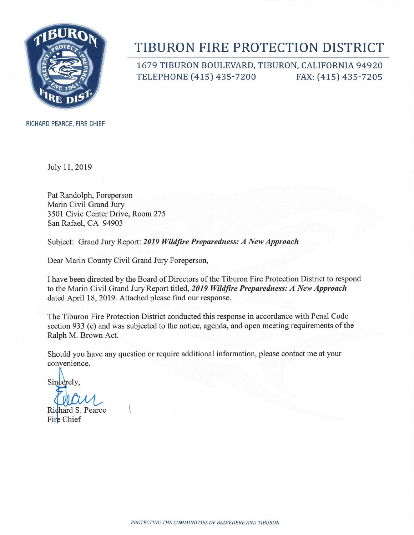

# TIBURON FIRE PROTECTION DISTRICT

1679 TIBURON BOULEVARD, TIBURON, CALIFORNIA 94920 TELEPHONE (415) 435-7200 FAX: (415) 435-7205

RICHARD PEARCE, FIRE CHIEF

July 11,2019

Pat Randolph, Foreperson Marin Civil Grand Jury 3501 Civic Center Drive, Room 275 San Rafael, CA 94903

Subject: Grand Jury Report: *2019 Wildfire Preparedness: A New Approach* 

Dear Marin County Civil Grand Jury Foreperson,

I have been directed by the Board of Directors of the Tiburon Fire Protection District to respond to the Marin Civil Grand Jury Report titled, 2019 Wildfire Preparedness: A New Approach dated April 18, 2019. Attached please find our response.

The Tiburon Fire Protection District conducted this response in accordance with Penal Code section 933 (c) and was subjected to the notice, agenda, and open meeting requirements of the Ralph M. Brown Act.

Should you have any question or require additional information, please contact me at your convenience.

Sincerely,

Richard S. Pearce Fire Chief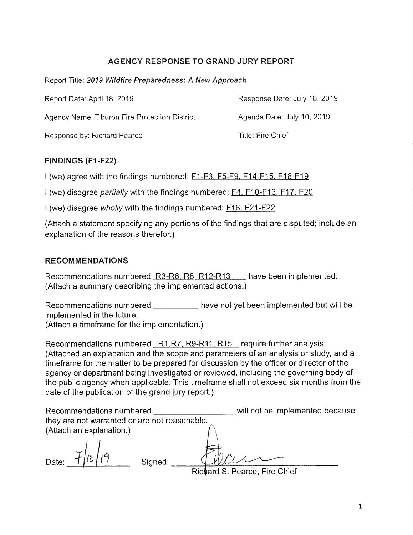# **AGENCY RESPONSE TO GRAND JURY REPORT**

Report Title: 2019 Wildfire Preparedness: A New Approach

Report Date: April 18, 2019 Response Date: July 18, 2019

Agency Name: Tiburon Fire Protection District Agenda Date: July 10, 2019

Response by: Richard Pearce Title: Fire Chief

# **FINDINGS (Fl-F22)**

I (we) agree with the findings numbered: F1-F3, F5-F9, F14-F15, F18-F19

I (we) disagree partially with the findings numbered: **F4, F10-F13, F17, F20** 

I (we) disagree wholly with the findings numbered: F16, F21-F22

(Attach a statement specifying any portions of the findings that are disputed; include an explanation of the reasons therefor.)

# **RECOMMENDATIONS**

Recommendations numbered R3-R6, R8, R12-R13 have been implemented. (Attach a summary describing the implemented actions.)

Recommendations numbered \_\_\_\_\_\_\_\_\_\_ have not yet been implemented but will be implemented in the future.

(Attach a timeframe for the implementation.)

Recommendations numbered R1, R7, R9-R11, R15 require further analysis. (Attached an explanation and the scope and parameters of an analysis or study, and a timeframe for the matter to be prepared for discussion by the officer or director of the agency or department being investigated or reviewed, including the governing body of the public agency when applicable. This timeframe shall not exceed six months from the date of the publication of the grand jury report.)

| Recommendations numbered                      |  |         |  | will not be implemented because |
|-----------------------------------------------|--|---------|--|---------------------------------|
| they are not warranted or are not reasonable. |  |         |  |                                 |
| (Attach an explanation.)                      |  |         |  |                                 |
|                                               |  |         |  |                                 |
| Date:                                         |  | Signed: |  |                                 |
|                                               |  |         |  | Richard S. Pearce, Fire Chief   |

1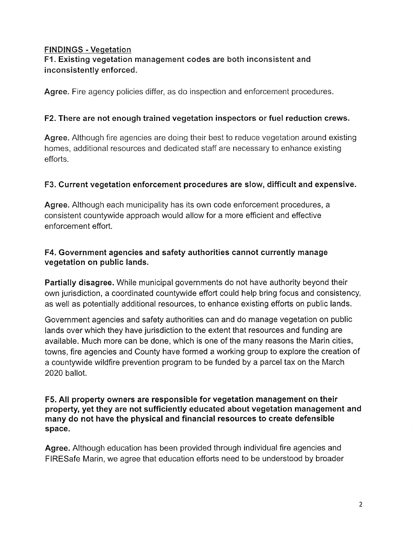#### **FINDINGS - Vegetation**

# **Fl. Existing vegetation management codes are both inconsistent and inconsistently enforced.**

**Agree.** Fire agency policies differ, as do inspection and enforcement procedures.

#### **F2. There are not enough trained vegetation inspectors or fuel reduction crews.**

**Agree.** Although fire agencies are doing their best to reduce vegetation around existing homes, additional resources and dedicated staff are necessary to enhance existing efforts.

#### **F3. Current vegetation enforcement procedures are slow, difficult and expensive.**

**Agree.** Although each municipality has its own code enforcement procedures, a consistent countywide approach would allow for a more efficient and effective enforcement effort.

#### **F4. Government agencies and safety authorities cannot currently manage vegetation on public lands.**

**Partially disagree.** While municipal governments do not have authority beyond their own jurisdiction, a coordinated countywide effort could help bring focus and consistency, as well as potentially additional resources, to enhance existing efforts on public lands.

Government agencies and safety authorities can and do manage vegetation on public lands over which they have jurisdiction to the extent that resources and funding are available. Much more can be done, which is one of the many reasons the Marin cities, towns, fire agencies and County have formed a working group to explore the creation of a countywide wildfire prevention program to be funded by a parcel tax on the March 2020 ballot.

#### **F5. All property owners are responsible for vegetation management on their property, yet they are not sufficiently educated about vegetation management and many do not have the physical and financial resources to create defensible space.**

**Agree.** Although education has been provided through individual fire agencies and FIRESafe Marin, we agree that education efforts need to be understood by broader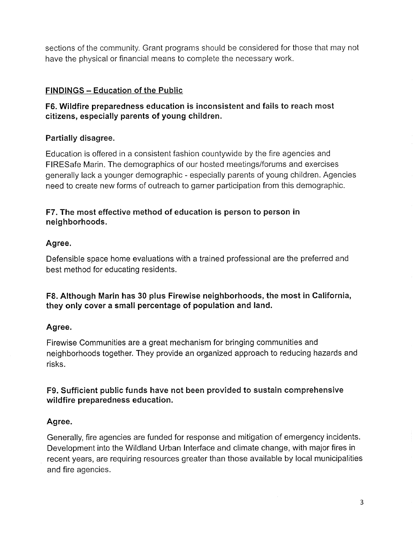sections of the community. Grant programs should be considered for those that may not have the physical or financial means to complete the necessary work.

#### **FINDINGS — Education of the Public**

# **F6. Wildfire preparedness education is inconsistent and fails to reach most citizens, especially parents of young children.**

#### **Partially disagree.**

Education is offered in a consistent fashion countywide by the fire agencies and FIRESafe Marin. The demographics of our hosted meetings/forums and exercises generally lack a younger demographic - especially parents of young children. Agencies need to create new forms of outreach to garner participation from this demographic.

# **F7. The most effective method of education is person to person in neighborhoods.**

# **Agree.**

Defensible space home evaluations with a trained professional are the preferred and best method for educating residents.

# F8. Although Marin has 30 plus Firewise neighborhoods, the most in California, **they only cover a small percentage of population and land.**

#### **Agree.**

Firewise Communities are a great mechanism for bringing communities and neighborhoods together. They provide an organized approach to reducing hazards and risks.

#### **F9. Sufficient public funds have not been provided to sustain comprehensive wildfire preparedness education.**

# **Agree.**

Generally, fire agencies are funded for response and mitigation of emergency incidents. Development into the Wildland Urban Interface and climate change, with major fires in recent years, are requiring resources greater than those available by local municipalities and fire agencies.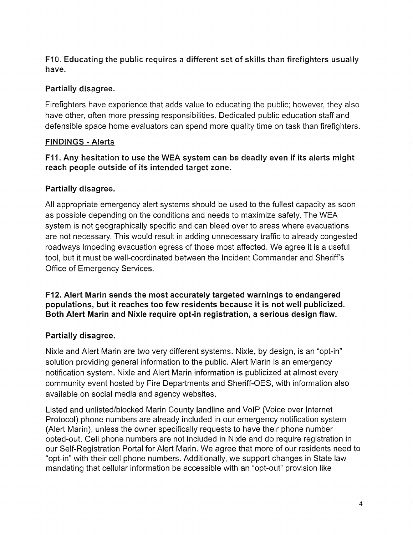**F10. Educating the public requires a different set of skills than firefighters usually have.** 

#### **Partially disagree.**

Firefighters have experience that adds value to educating the public; however, they also have other, often more pressing responsibilities. Dedicated public education staff and defensible space home evaluators can spend more quality time on task than firefighters.

#### **FINDINGS - Alerts**

**F11. Any hesitation to use the WEA system can be deadly even if its alerts might reach people outside of its intended target zone.** 

# **Partially disagree.**

All appropriate emergency alert systems should be used to the fullest capacity as soon as possible depending on the conditions and needs to maximize safety. The WEA system is not geographically specific and can bleed over to areas where evacuations are not necessary. This would result in adding unnecessary traffic to already congested roadways impeding evacuation egress of those most affected. We agree it is a useful tool, but it must be well-coordinated between the Incident Commander and Sheriff's Office of Emergency Services.

**F12. Alert Marin sends the most accurately targeted warnings to endangered populations, but it reaches too few residents because it is not well publicized. Both Alert Marin and Nixle require opt-in registration, a serious design flaw.** 

#### **Partially disagree.**

Nixle and Alert Marin are two very different systems. Nixle, by design, is an "opt-in" solution providing general information to the public. Alert Marin is an emergency notification system. Nixle and Alert Marin information is publicized at almost every community event hosted by Fire Departments and Sheriff-OES, with information also available on social media and agency websites.

Listed and unlisted/blocked Mann County landline and VolP (Voice over Internet Protocol) phone numbers are already included in our emergency notification system (Alert Marin), unless the owner specifically requests to have their phone number opted-out. Cell phone numbers are not included in Nixie and do require registration in our Self-Registration Portal for Alert Marin. We agree that more of our residents need to "opt-in" with their cell phone numbers. Additionally, we support changes in State law mandating that cellular information be accessible with an "opt-out" provision like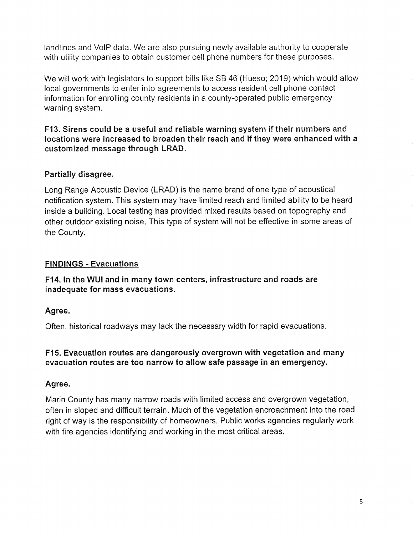landlines and VolP data. We are also pursuing newly available authority to cooperate with utility companies to obtain customer cell phone numbers for these purposes.

We will work with legislators to support bills like SB 46 (Hueso; 2019) which would allow local governments to enter into agreements to access resident cell phone contact information for enrolling county residents in a county-operated public emergency warning system.

**F13. Sirens could be a useful and reliable warning system if their numbers and locations were increased to broaden their reach and if they were enhanced with a customized message through LRAD.** 

# **Partially disagree.**

Long Range Acoustic Device (LRAD) is the name brand of one type of acoustical notification system. This system may have limited reach and limited ability to be heard inside a building. Local testing has provided mixed results based on topography and other outdoor existing noise. This type of system will not be effective in some areas of the County.

#### **FINDINGS - Evacuations**

**F14. In the WUI and in many town centers, infrastructure and roads are inadequate for mass evacuations.** 

#### **Agree.**

Often, historical roadways may lack the necessary width for rapid evacuations.

#### **F15. Evacuation routes are dangerously overgrown with vegetation and many evacuation routes are too narrow to allow safe passage in an emergency.**

#### **Agree.**

Marin County has many narrow roads with limited access and overgrown vegetation, often in sloped and difficult terrain. Much of the vegetation encroachment into the road right of way is the responsibility of homeowners. Public works agencies regularly work with fire agencies identifying and working in the most critical areas.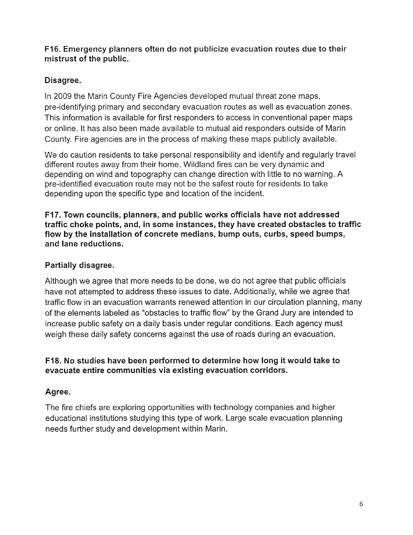#### **F16. Emergency planners often do not publicize evacuation routes due to their mistrust of the public.**

# **Disagree.**

In 2009 the Marin County Fire Agencies developed mutual threat zone maps, pre-identifying primary and secondary evacuation routes as well as evacuation zones. This information is available for first responders to access in conventional paper maps or online. It has also been made available to mutual aid responders outside of Marin County. Fire agencies are in the process of making these maps publicly available.

We do caution residents to take personal responsibility and identify and regularly travel different routes away from their home. Wildland fires can be very dynamic and depending on wind and topography can change direction with little to no warning. A pre-identified evacuation route may not be the safest route for residents to take depending upon the specific type and location of the incident.

**F17. Town councils, planners, and public works officials have not addressed traffic choke points, and, in some instances, they have created obstacles to traffic flow by the installation of concrete medians, bump outs, curbs, speed bumps, and lane reductions.** 

# **Partially disagree.**

Although we agree that more needs to be done, we do not agree that public officials have not attempted to address these issues to date. Additionally, while we agree that traffic flow in an evacuation warrants renewed attention in our circulation planning, many of the elements labeled as "obstacles to traffic flow" by the Grand Jury are intended to increase public safety on a daily basis under regular conditions. Each agency must weigh these daily safety concerns against the use of roads during an evacuation.

# **F18. No studies have been performed to determine how long it would take to evacuate entire communities via existing evacuation corridors.**

# **Agree.**

The fire chiefs are exploring opportunities with technology companies and higher educational institutions studying this type of work. Large scale evacuation planning needs further study and development within Marin.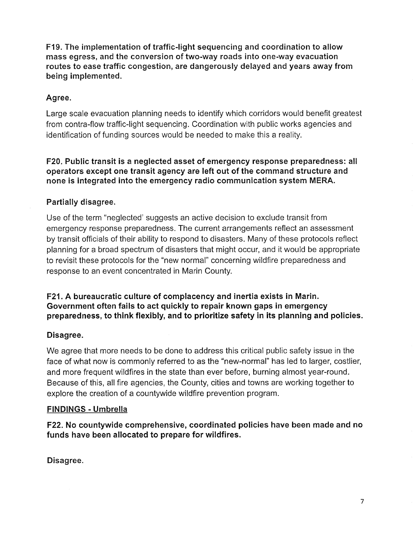**F19. The implementation of traffic-light sequencing and coordination to allow mass egress, and the conversion of two-way roads into one-way evacuation routes to ease traffic congestion, are dangerously delayed and years away from being implemented.** 

#### **Agree.**

Large scale evacuation planning needs to identify which corridors would benefit greatest from contra-flow traffic-light sequencing. Coordination with public works agencies and identification of funding sources would be needed to make this a reality.

**F20. Public transit is a neglected asset of emergency response preparedness: all operators except one transit agency are left out of the command structure and none is integrated into the emergency radio communication system MERA.** 

# **Partially disagree.**

Use of the term "neglected' suggests an active decision to exclude transit from emergency response preparedness. The current arrangements reflect an assessment by transit officials of their ability to respond to disasters. Many of these protocols reflect planning for a broad spectrum of disasters that might occur, and it would be appropriate to revisit these protocols for the "new normal" concerning wildfire preparedness and response to an event concentrated in Marin County.

**F21. A bureaucratic culture of complacency and inertia exists in Marin. Government often fails to act quickly to repair known gaps in emergency preparedness, to think flexibly, and to prioritize safety in its planning and policies.** 

#### **Disagree.**

We agree that more needs to be done to address this critical public safety issue in the face of what now is commonly referred to as the "new-normal" has led to larger, costlier, and more frequent wildfires in the state than ever before, burning almost year-round. Because of this, all fire agencies, the County, cities and towns are working together to explore the creation of a countywide wildfire prevention program.

#### **FINDINGS - Umbrella**

**F22. No countywide comprehensive, coordinated policies have been made and no funds have been allocated to prepare for wildfires.** 

**Disagree.**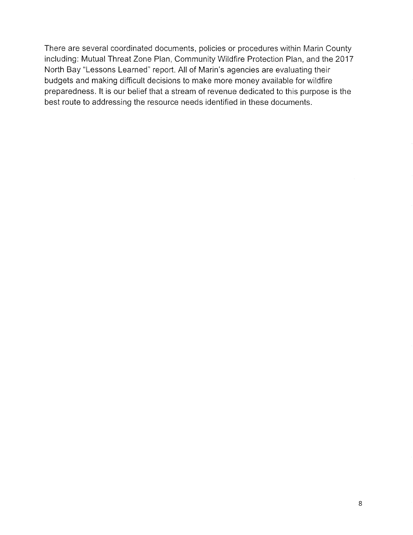There are several coordinated documents, policies or procedures within Marin County including: Mutual Threat Zone Plan, Community Wildfire Protection Plan, and the 2017 North Bay "Lessons Learned" report. All of Marin's agencies are evaluating their budgets and making difficult decisions to make more money available for wildfire preparedness. It is our belief that a stream of revenue dedicated to this purpose is the best route to addressing the resource needs identified in these documents.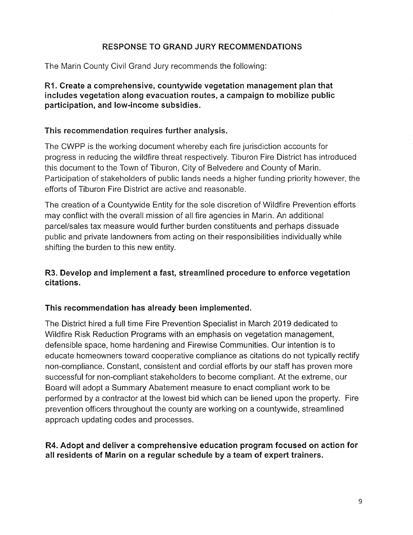#### **RESPONSE TO GRAND JURY RECOMMENDATIONS**

The Marin County Civil Grand Jury recommends the following:

**Rl. Create a comprehensive, countywide vegetation management plan that includes vegetation along evacuation routes, a campaign to mobilize public participation, and low-income subsidies.** 

#### **This recommendation requires further analysis.**

The CWPP is the working document whereby each fire jurisdiction accounts for progress in reducing the wildfire threat respectively. Tiburon Fire District has introduced this document to the Town of Tiburon, City of Belvedere and County of Mann. Participation of stakeholders of public lands needs a higher funding priority however, the efforts of Tiburon Fire District are active and reasonable.

The creation of a Countywide Entity for the sole discretion of Wildfire Prevention efforts may conflict with the overall mission of all fire agencies in Marin. An additional parcel/sales tax measure would further burden constituents and perhaps dissuade public and private landowners from acting on their responsibilities individually while shifting the burden to this new entity.

#### **R3. Develop and implement a fast, streamlined procedure to enforce vegetation citations.**

#### **This recommendation has already been implemented.**

The District hired a full time Fire Prevention Specialist in March 2019 dedicated to Wildfire Risk Reduction Programs with an emphasis on vegetation management, defensible space, home hardening and Firewise Communities. Our intention is to educate homeowners toward cooperative compliance as citations do not typically rectify non-compliance. Constant, consistent and cordial efforts by our staff has proven more successful for non-compliant stakeholders to become compliant. At the extreme, our Board will adopt a Summary Abatement measure to enact compliant work to be performed by a contractor at the lowest bid which can be liened upon the property. Fire prevention officers throughout the county are working on a countywide, streamlined approach updating codes and processes.

#### **R4. Adopt and deliver a comprehensive education program focused on action for**  all residents of Marin on a regular schedule by a team of expert trainers.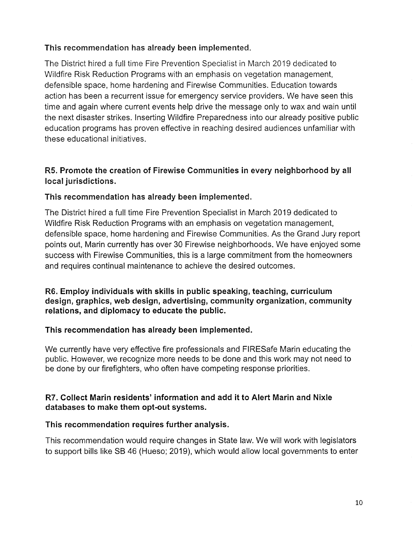#### **This recommendation has already been implemented.**

The District hired a full time Fire Prevention Specialist in March 2019 dedicated to Wildfire Risk Reduction Programs with an emphasis on vegetation management, defensible space, home hardening and Firewise Communities. Education towards action has been a recurrent issue for emergency service providers. We have seen this time and again where current events help drive the message only to wax and wain until the next disaster strikes. Inserting Wildfire Preparedness into our already positive public education programs has proven effective in reaching desired audiences unfamiliar with these educational initiatives.

# **R5. Promote the creation of Firewise Communities in every neighborhood by all local jurisdictions.**

#### **This recommendation has already been implemented.**

The District hired a full time Fire Prevention Specialist in March 2019 dedicated to Wildfire Risk Reduction Programs with an emphasis on vegetation management, defensible space, home hardening and Firewise Communities. As the Grand Jury report points out, Marin currently has over 30 Firewise neighborhoods. We have enjoyed some success with Firewise Communities, this is a large commitment from the homeowners and requires continual maintenance to achieve the desired outcomes.

**R6. Employ individuals with skills in public speaking, teaching, curriculum design, graphics, web design, advertising, community organization, community relations, and diplomacy to educate the public.** 

#### **This recommendation has already been implemented.**

We currently have very effective fire professionals and FIRESafe Marin educating the public. However, we recognize more needs to be done and this work may not need to be done by our firefighters, who often have competing response priorities.

#### **R7. Collect Marin residents' information and add it to Alert Marin and Nixle databases to make them opt-out systems.**

#### **This recommendation requires further analysis.**

This recommendation would require changes in State law. We will work with legislators to support bills like SB 46 (Hueso; 2019), which would allow local governments to enter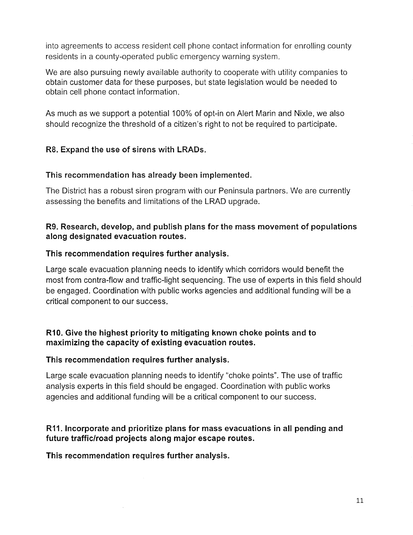into agreements to access resident cell phone contact information for enrolling county residents in a county-operated public emergency warning system.

We are also pursuing newly available authority to cooperate with utility companies to obtain customer data for these purposes, but state legislation would be needed to obtain cell phone contact information.

As much as we support a potential 100% of opt-in on Alert Marin and Nixle, we also should recognize the threshold of a citizen's right to not be required to participate.

#### **R8. Expand the use of sirens with LRADs.**

#### **This recommendation has already been implemented.**

The District has a robust siren program with our Peninsula partners. We are currently assessing the benefits and limitations of the LRAD upgrade.

#### **R9. Research, develop, and publish plans for the mass movement of populations along designated evacuation routes.**

#### **This recommendation requires further analysis.**

Large scale evacuation planning needs to identify which corridors would benefit the most from contra-flow and traffic-light sequencing. The use of experts in this field should be engaged. Coordination with public works agencies and additional funding will be a critical component to our success.

#### **R10. Give the highest priority to mitigating known choke points and to maximizing the capacity of existing evacuation routes.**

#### **This recommendation requires further analysis.**

Large scale evacuation planning needs to identify "choke points". The use of traffic analysis experts in this field should be engaged. Coordination with public works agencies and additional funding will be a critical component to our success.

#### **R11. Incorporate and prioritize plans for mass evacuations in all pending and future traffic/road projects along major escape routes.**

**This recommendation requires further analysis.**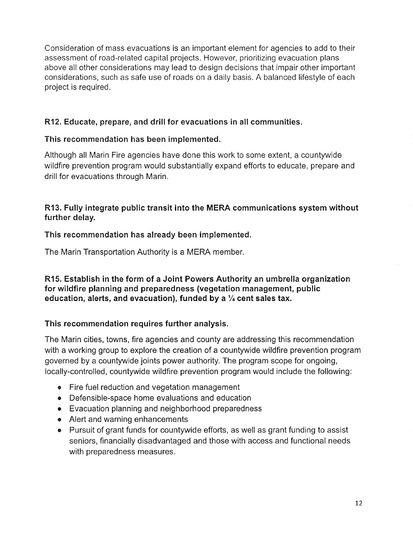Consideration of mass evacuations is an important element for agencies to add to their assessment of road-related capital projects. However, prioritizing evacuation plans above all other considerations may lead to design decisions that impair other important considerations, such as safe use of roads on a daily basis. A balanced lifestyle of each project is required.

# **R12. Educate, prepare, and drill for evacuations in all communities.**

# **This recommendation has been implemented.**

Although all Mann Fire agencies have done this work to some extent, a countywide wildfire prevention program would substantially expand efforts to educate, prepare and drill for evacuations through Marin.

# **R13. Fully integrate public transit into the MERA communications system without further delay.**

# **This recommendation has already been implemented.**

The Marin Transportation Authority is a MERA member.

#### **R15. Establish in the form of a Joint Powers Authority an umbrella organization for wildfire planning and preparedness (vegetation management, public education, alerts, and evacuation), funded by a 1/4 cent sales tax.**

# **This recommendation requires further analysis.**

The Marin cities, towns, fire agencies and county are addressing this recommendation with a working group to explore the creation of a countywide wildfire prevention program governed by a countywide joints power authority. The program scope for ongoing, locally-controlled, countywide wildfire prevention program would include the following:

- Fire fuel reduction and vegetation management
- Defensible-space home evaluations and education
- Evacuation planning and neighborhood preparedness
- Alert and warning enhancements
- Pursuit of grant funds for countywide efforts, as well as grant funding to assist seniors, financially disadvantaged and those with access and functional needs with preparedness measures.